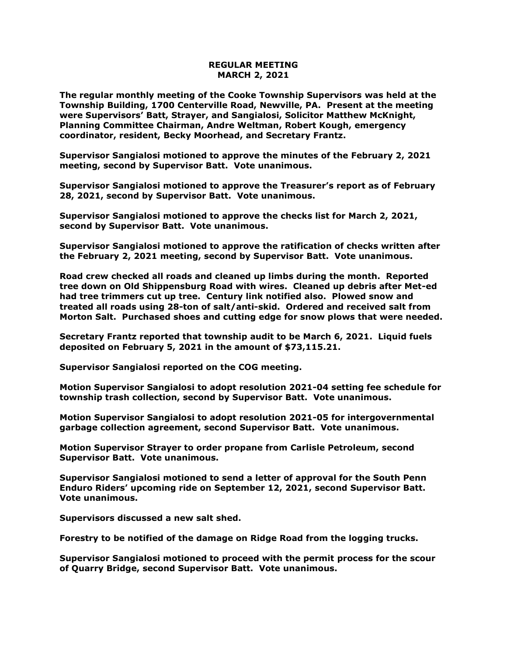## **REGULAR MEETING MARCH 2, 2021**

**The regular monthly meeting of the Cooke Township Supervisors was held at the Township Building, 1700 Centerville Road, Newville, PA. Present at the meeting were Supervisors' Batt, Strayer, and Sangialosi, Solicitor Matthew McKnight, Planning Committee Chairman, Andre Weltman, Robert Kough, emergency coordinator, resident, Becky Moorhead, and Secretary Frantz.** 

**Supervisor Sangialosi motioned to approve the minutes of the February 2, 2021 meeting, second by Supervisor Batt. Vote unanimous.** 

**Supervisor Sangialosi motioned to approve the Treasurer's report as of February 28, 2021, second by Supervisor Batt. Vote unanimous.**

**Supervisor Sangialosi motioned to approve the checks list for March 2, 2021, second by Supervisor Batt. Vote unanimous.**

**Supervisor Sangialosi motioned to approve the ratification of checks written after the February 2, 2021 meeting, second by Supervisor Batt. Vote unanimous.**

**Road crew checked all roads and cleaned up limbs during the month. Reported tree down on Old Shippensburg Road with wires. Cleaned up debris after Met-ed had tree trimmers cut up tree. Century link notified also. Plowed snow and treated all roads using 28-ton of salt/anti-skid. Ordered and received salt from Morton Salt. Purchased shoes and cutting edge for snow plows that were needed.**

**Secretary Frantz reported that township audit to be March 6, 2021. Liquid fuels deposited on February 5, 2021 in the amount of \$73,115.21.** 

**Supervisor Sangialosi reported on the COG meeting.** 

**Motion Supervisor Sangialosi to adopt resolution 2021-04 setting fee schedule for township trash collection, second by Supervisor Batt. Vote unanimous.**

**Motion Supervisor Sangialosi to adopt resolution 2021-05 for intergovernmental garbage collection agreement, second Supervisor Batt. Vote unanimous.**

**Motion Supervisor Strayer to order propane from Carlisle Petroleum, second Supervisor Batt. Vote unanimous.**

**Supervisor Sangialosi motioned to send a letter of approval for the South Penn Enduro Riders' upcoming ride on September 12, 2021, second Supervisor Batt. Vote unanimous.**

**Supervisors discussed a new salt shed.** 

**Forestry to be notified of the damage on Ridge Road from the logging trucks.**

**Supervisor Sangialosi motioned to proceed with the permit process for the scour of Quarry Bridge, second Supervisor Batt. Vote unanimous.**